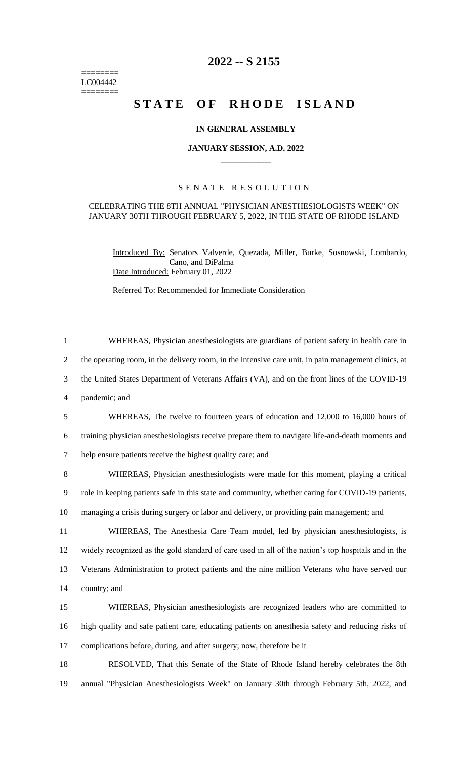======== LC004442 ========

# **2022 -- S 2155**

# **STATE OF RHODE ISLAND**

## **IN GENERAL ASSEMBLY**

#### **JANUARY SESSION, A.D. 2022 \_\_\_\_\_\_\_\_\_\_\_\_**

# S E N A T E R E S O L U T I O N

## CELEBRATING THE 8TH ANNUAL "PHYSICIAN ANESTHESIOLOGISTS WEEK" ON JANUARY 30TH THROUGH FEBRUARY 5, 2022, IN THE STATE OF RHODE ISLAND

Introduced By: Senators Valverde, Quezada, Miller, Burke, Sosnowski, Lombardo, Cano, and DiPalma Date Introduced: February 01, 2022

Referred To: Recommended for Immediate Consideration

 WHEREAS, Physician anesthesiologists are guardians of patient safety in health care in the operating room, in the delivery room, in the intensive care unit, in pain management clinics, at the United States Department of Veterans Affairs (VA), and on the front lines of the COVID-19 pandemic; and WHEREAS, The twelve to fourteen years of education and 12,000 to 16,000 hours of training physician anesthesiologists receive prepare them to navigate life-and-death moments and help ensure patients receive the highest quality care; and WHEREAS, Physician anesthesiologists were made for this moment, playing a critical role in keeping patients safe in this state and community, whether caring for COVID-19 patients, managing a crisis during surgery or labor and delivery, or providing pain management; and WHEREAS, The Anesthesia Care Team model, led by physician anesthesiologists, is widely recognized as the gold standard of care used in all of the nation's top hospitals and in the Veterans Administration to protect patients and the nine million Veterans who have served our country; and WHEREAS, Physician anesthesiologists are recognized leaders who are committed to high quality and safe patient care, educating patients on anesthesia safety and reducing risks of complications before, during, and after surgery; now, therefore be it

18 RESOLVED, That this Senate of the State of Rhode Island hereby celebrates the 8th 19 annual "Physician Anesthesiologists Week" on January 30th through February 5th, 2022, and